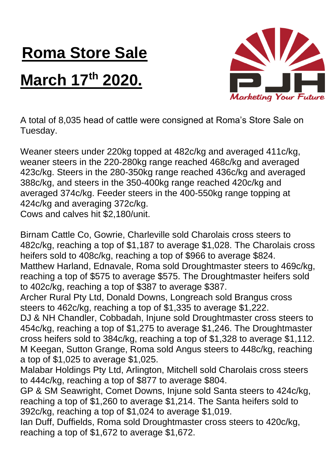## **Roma Store Sale**

## **March 17 th 2020.**



A total of 8,035 head of cattle were consigned at Roma's Store Sale on Tuesday.

Weaner steers under 220kg topped at 482c/kg and averaged 411c/kg, weaner steers in the 220-280kg range reached 468c/kg and averaged 423c/kg. Steers in the 280-350kg range reached 436c/kg and averaged 388c/kg, and steers in the 350-400kg range reached 420c/kg and averaged 374c/kg. Feeder steers in the 400-550kg range topping at 424c/kg and averaging 372c/kg.

Cows and calves hit \$2,180/unit.

Birnam Cattle Co, Gowrie, Charleville sold Charolais cross steers to 482c/kg, reaching a top of \$1,187 to average \$1,028. The Charolais cross heifers sold to 408c/kg, reaching a top of \$966 to average \$824. Matthew Harland, Ednavale, Roma sold Droughtmaster steers to 469c/kg, reaching a top of \$575 to average \$575. The Droughtmaster heifers sold

to 402c/kg, reaching a top of \$387 to average \$387.

Archer Rural Pty Ltd, Donald Downs, Longreach sold Brangus cross steers to 462c/kg, reaching a top of \$1,335 to average \$1,222.

DJ & NH Chandler, Cobbadah, Injune sold Droughtmaster cross steers to 454c/kg, reaching a top of \$1,275 to average \$1,246. The Droughtmaster cross heifers sold to 384c/kg, reaching a top of \$1,328 to average \$1,112. M Keegan, Sutton Grange, Roma sold Angus steers to 448c/kg, reaching a top of \$1,025 to average \$1,025.

Malabar Holdings Pty Ltd, Arlington, Mitchell sold Charolais cross steers to 444c/kg, reaching a top of \$877 to average \$804.

GP & SM Seawright, Comet Downs, Injune sold Santa steers to 424c/kg, reaching a top of \$1,260 to average \$1,214. The Santa heifers sold to 392c/kg, reaching a top of \$1,024 to average \$1,019.

Ian Duff, Duffields, Roma sold Droughtmaster cross steers to 420c/kg, reaching a top of \$1,672 to average \$1,672.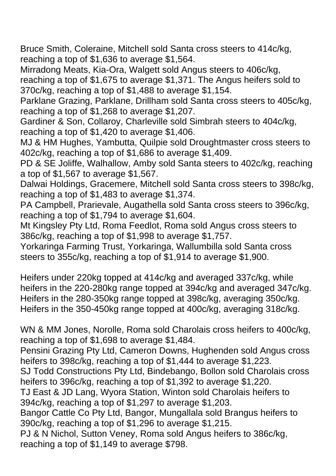Bruce Smith, Coleraine, Mitchell sold Santa cross steers to 414c/kg, reaching a top of \$1,636 to average \$1,564.

Mirradong Meats, Kia-Ora, Walgett sold Angus steers to 406c/kg, reaching a top of \$1,675 to average \$1,371. The Angus heifers sold to 370c/kg, reaching a top of \$1,488 to average \$1,154.

Parklane Grazing, Parklane, Drillham sold Santa cross steers to 405c/kg, reaching a top of \$1,268 to average \$1,207.

Gardiner & Son, Collaroy, Charleville sold Simbrah steers to 404c/kg, reaching a top of \$1,420 to average \$1,406.

MJ & HM Hughes, Yambutta, Quilpie sold Droughtmaster cross steers to 402c/kg, reaching a top of \$1,686 to average \$1,409.

PD & SE Joliffe, Walhallow, Amby sold Santa steers to 402c/kg, reaching a top of \$1,567 to average \$1,567.

Dalwai Holdings, Gracemere, Mitchell sold Santa cross steers to 398c/kg, reaching a top of \$1,483 to average \$1,374.

PA Campbell, Prarievale, Augathella sold Santa cross steers to 396c/kg, reaching a top of \$1,794 to average \$1,604.

Mt Kingsley Pty Ltd, Roma Feedlot, Roma sold Angus cross steers to 386c/kg, reaching a top of \$1,998 to average \$1,757.

Yorkaringa Farming Trust, Yorkaringa, Wallumbilla sold Santa cross steers to 355c/kg, reaching a top of \$1,914 to average \$1,900.

Heifers under 220kg topped at 414c/kg and averaged 337c/kg, while heifers in the 220-280kg range topped at 394c/kg and averaged 347c/kg. Heifers in the 280-350kg range topped at 398c/kg, averaging 350c/kg. Heifers in the 350-450kg range topped at 400c/kg, averaging 318c/kg.

WN & MM Jones, Norolle, Roma sold Charolais cross heifers to 400c/kg, reaching a top of \$1,698 to average \$1,484.

Pensini Grazing Pty Ltd, Cameron Downs, Hughenden sold Angus cross heifers to 398c/kg, reaching a top of \$1,444 to average \$1,223.

SJ Todd Constructions Pty Ltd, Bindebango, Bollon sold Charolais cross heifers to 396c/kg, reaching a top of \$1,392 to average \$1,220.

TJ East & JD Lang, Wyora Station, Winton sold Charolais heifers to 394c/kg, reaching a top of \$1,297 to average \$1,203.

Bangor Cattle Co Pty Ltd, Bangor, Mungallala sold Brangus heifers to 390c/kg, reaching a top of \$1,296 to average \$1,215.

PJ & N Nichol, Sutton Veney, Roma sold Angus heifers to 386c/kg, reaching a top of \$1,149 to average \$798.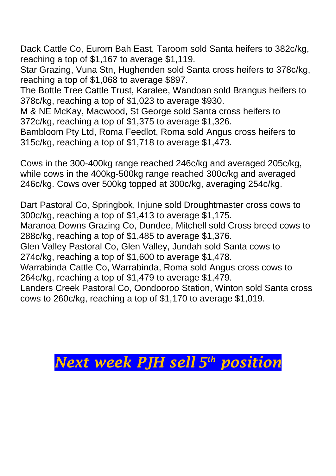Dack Cattle Co, Eurom Bah East, Taroom sold Santa heifers to 382c/kg, reaching a top of \$1,167 to average \$1,119.

Star Grazing, Vuna Stn, Hughenden sold Santa cross heifers to 378c/kg, reaching a top of \$1,068 to average \$897.

The Bottle Tree Cattle Trust, Karalee, Wandoan sold Brangus heifers to 378c/kg, reaching a top of \$1,023 to average \$930.

M & NE McKay, Macwood, St George sold Santa cross heifers to 372c/kg, reaching a top of \$1,375 to average \$1,326.

Bambloom Pty Ltd, Roma Feedlot, Roma sold Angus cross heifers to 315c/kg, reaching a top of \$1,718 to average \$1,473.

Cows in the 300-400kg range reached 246c/kg and averaged 205c/kg, while cows in the 400kg-500kg range reached 300c/kg and averaged 246c/kg. Cows over 500kg topped at 300c/kg, averaging 254c/kg.

Dart Pastoral Co, Springbok, Injune sold Droughtmaster cross cows to 300c/kg, reaching a top of \$1,413 to average \$1,175.

Maranoa Downs Grazing Co, Dundee, Mitchell sold Cross breed cows to 288c/kg, reaching a top of \$1,485 to average \$1,376.

Glen Valley Pastoral Co, Glen Valley, Jundah sold Santa cows to 274c/kg, reaching a top of \$1,600 to average \$1,478.

Warrabinda Cattle Co, Warrabinda, Roma sold Angus cross cows to 264c/kg, reaching a top of \$1,479 to average \$1,479.

Landers Creek Pastoral Co, Oondooroo Station, Winton sold Santa cross cows to 260c/kg, reaching a top of \$1,170 to average \$1,019.

## *Next week PJH sell 5 th position*